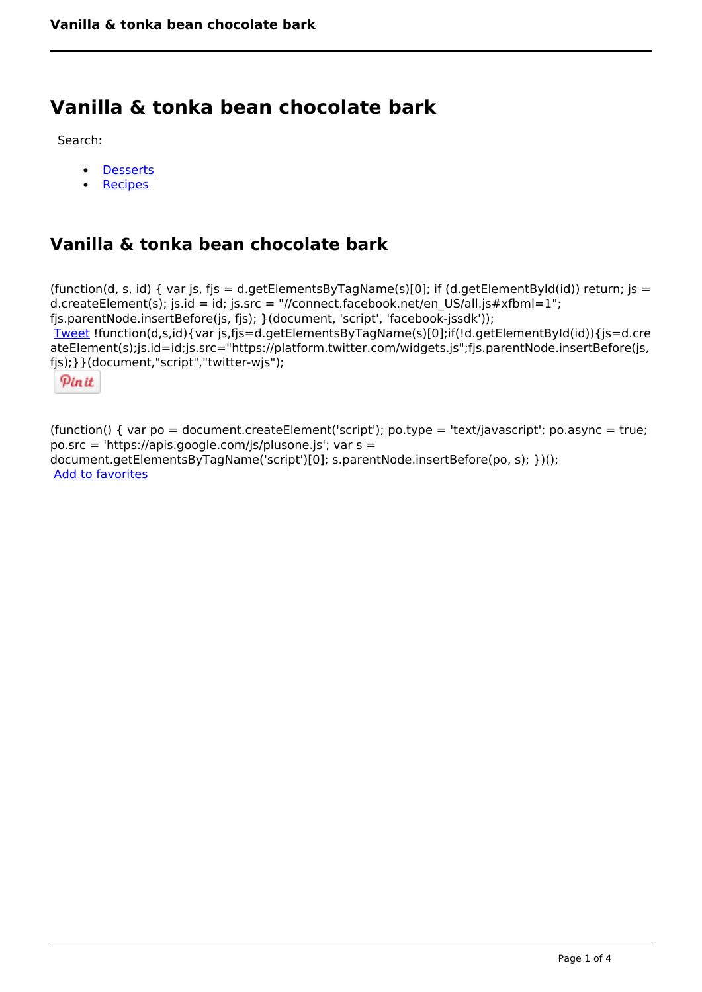# **Vanilla & tonka bean chocolate bark**

Search:

- **[Desserts](https://www.naturalhealthmag.com.au/nourish/desserts)**  $\bullet$
- [Recipes](https://www.naturalhealthmag.com.au/nourish/recipes)

## **Vanilla & tonka bean chocolate bark**

(function(d, s, id) { var js, fjs = d.getElementsByTagName(s)[0]; if (d.getElementById(id)) return; js = d.createElement(s); js.id = id; js.src = "//connect.facebook.net/en\_US/all.js#xfbml=1"; fjs.parentNode.insertBefore(js, fjs); }(document, 'script', 'facebook-jssdk')); [Tweet](https://twitter.com/share) !function(d,s,id){var js,fjs=d.getElementsByTagName(s)[0];if(!d.getElementById(id)){js=d.cre ateElement(s);js.id=id;js.src="https://platform.twitter.com/widgets.js";fjs.parentNode.insertBefore(js, fjs);}}(document,"script","twitter-wjs");

Pinit

(function() { var po = document.createElement('script'); po.type = 'text/javascript'; po.async = true; po.src = 'https://apis.google.com/js/plusone.js'; var s = document.getElementsByTagName('script')[0]; s.parentNode.insertBefore(po, s); })(); Add to favorites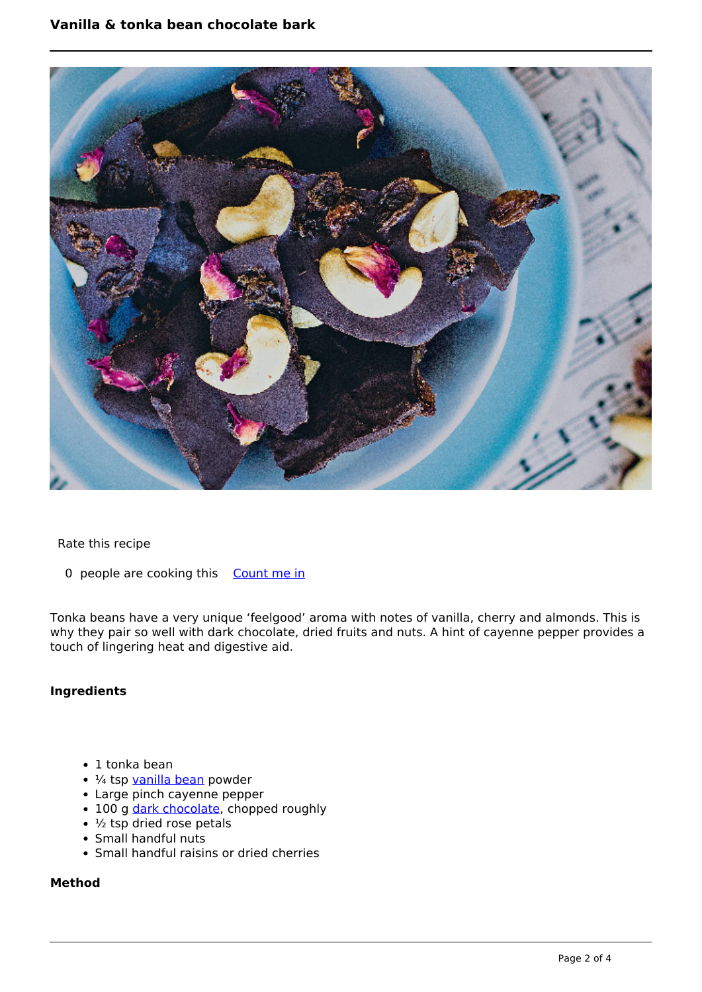

#### Rate this recipe

0 people are cooking this [Count me in](https://www.naturalhealthmag.com.au/flag/flag/favorites/2047?destination=printpdf%2F2047&token=3e0467149fb52ab7b216b5998c8ab773)

Tonka beans have a very unique 'feelgood' aroma with notes of vanilla, cherry and almonds. This is why they pair so well with dark chocolate, dried fruits and nuts. A hint of cayenne pepper provides a touch of lingering heat and digestive aid.

#### **Ingredients**

- 1 tonka bean
- $\cdot$  ¼ tsp [vanilla bean](http://www.naturalhealthmag.com.au/nourish/orange-and-vanilla-bean-raw-cheesecake-vegan) powder
- Large pinch cayenne pepper
- 100 g [dark chocolate,](http://www.naturalhealthmag.com.au/nourish/choc-almond-bread-and-butter-pudding) chopped roughly
- $\cdot$   $\frac{1}{2}$  tsp dried rose petals
- Small handful nuts
- Small handful raisins or dried cherries

### **Method**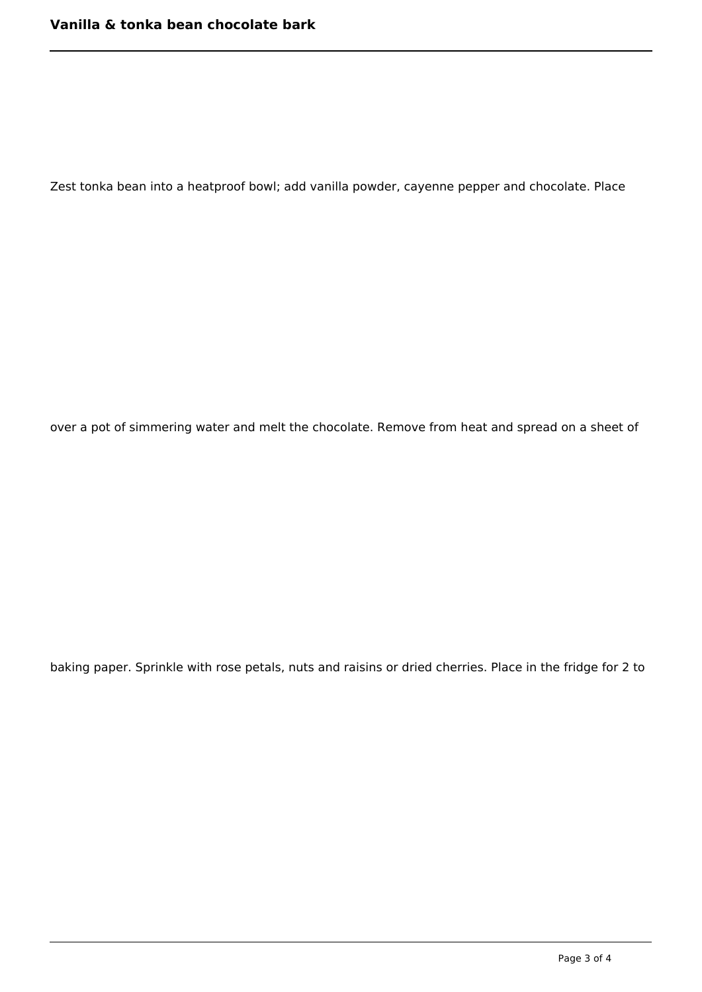Zest tonka bean into a heatproof bowl; add vanilla powder, cayenne pepper and chocolate. Place

over a pot of simmering water and melt the chocolate. Remove from heat and spread on a sheet of

baking paper. Sprinkle with rose petals, nuts and raisins or dried cherries. Place in the fridge for 2 to